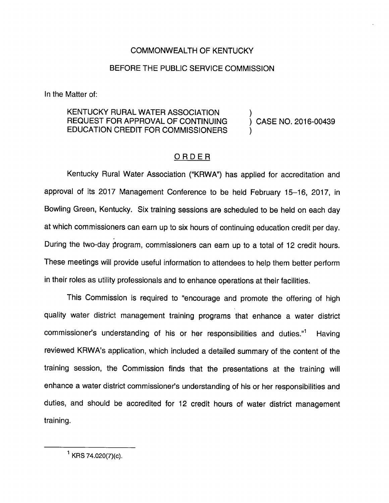## COMMONWEALTH OF KENTUCKY

## BEFORE THE PUBLIC SERVICE COMMISSION

In the Matter of:

## KENTUCKY RURAL WATER ASSOCIATION  $\left( \begin{array}{ccc} 0 & 0 & 0 \end{array} \right)$  (CASE NO. 2016-00439 REQUEST FOR APPROVAL OF CONTINUING EDUCATION CREDIT FOR COMMISSIONERS )

## ORDER

Kentucky Rural Water Association ("KRWA") has applied for accreditation and approval of its 2017 Management Conference to be held February 15-16, 2017, in Bowling Green, Kentucky. Six training sessions are scheduled to be held on each day at which commissioners can eam up to six hours of continuing education credit per day. During the two-day program, commissioners can eam up to a total of 12 credit hours. These meetings will provide useful information to attendees to help them better perform in their roles as utility professionals and to enhance operations at their facilities.

This Commission is required to "encourage and promote the offering of high quality water district management training programs that enhance a water district commissioner's understanding of his or her responsibilities and duties. $1^1$  Having reviewed KRWA's application, which included a detailed summary of the content of the training session, the Commission finds that the presentations at the training will enhance a water district commissioner's understanding of his or her responsibilities and duties, and should be accredited for 12 credit hours of water district management training.

 $^1$  KRS 74.020(7)(c).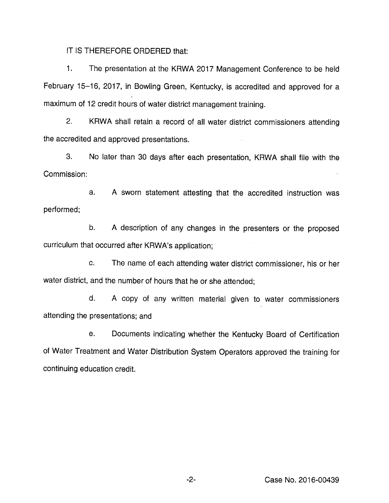IT IS THEREFORE ORDERED that:

1. The presentation at the KRWA 2017 Management Conference to be held February 15-16, 2017, in Bowling Green, Kentucky, is accredited and approved for a maximum of 12 credit hours of water district management training.

2. KRWA shall retain a record of all water district commissioners attending the accredited and approved presentations.

3. No later than 30 days after each presentation, KRWA shall file with the Commission:

a. A sworn statement attesting that the accredited instruction was performed:

b. A description of any changes in the presenters or the proposed curriculum that occurred after KRWA's application;

c. The name of each attending water district commissioner, his or her water district, and the number of hours that he or she attended;

d. A copy of any written material given to water commissioners attending the presentations; and

e. Documents indicating whether the Kentucky Board of Certification of Water Treatment and Water Distribution System Operators approved the training for continuing education credit.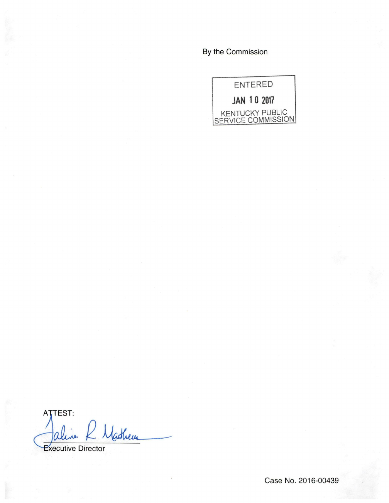By the Commission



ATTEST: Mathews ΩV

**Executive Director** 

Case No. 2016-00439